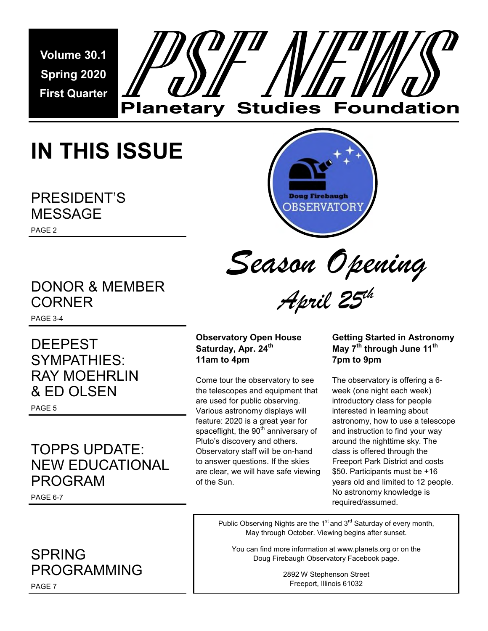**Volume 30.1 Spring 2020 First Quarter** 

# **Planetary Studies Foundation**

# **IN THIS ISSUE**

PRESIDENT'S MESSAGE



*Season Opening*

*April 25th*

### DONOR & MEMBER CORNER

PAGE 3-4

PAGE 2

DEEPEST SYMPATHIES: RAY MOEHRLIN & ED OLSEN

PAGE 5

### TOPPS UPDATE: NEW EDUCATIONAL PROGRAM

PAGE 6-7

### SPRING PROGRAMMING

**Observatory Open House Saturday, Apr. 24th 11am to 4pm** 

Come tour the observatory to see the telescopes and equipment that are used for public observing. Various astronomy displays will feature: 2020 is a great year for spaceflight, the  $90<sup>th</sup>$  anniversary of Pluto's discovery and others. Observatory staff will be on-hand to answer questions. If the skies are clear, we will have safe viewing of the Sun.

#### **Getting Started in Astronomy May 7th through June 11th 7pm to 9pm**

The observatory is offering a 6 week (one night each week) introductory class for people interested in learning about astronomy, how to use a telescope and instruction to find your way around the nighttime sky. The class is offered through the Freeport Park District and costs \$50. Participants must be +16 years old and limited to 12 people. No astronomy knowledge is required/assumed.

Public Observing Nights are the  $1<sup>st</sup>$  and  $3<sup>rd</sup>$  Saturday of every month, May through October. Viewing begins after sunset.

You can find more information at www.planets.org or on the Doug Firebaugh Observatory Facebook page.

> 2892 W Stephenson Street Freeport, Illinois 61032

PAGE 7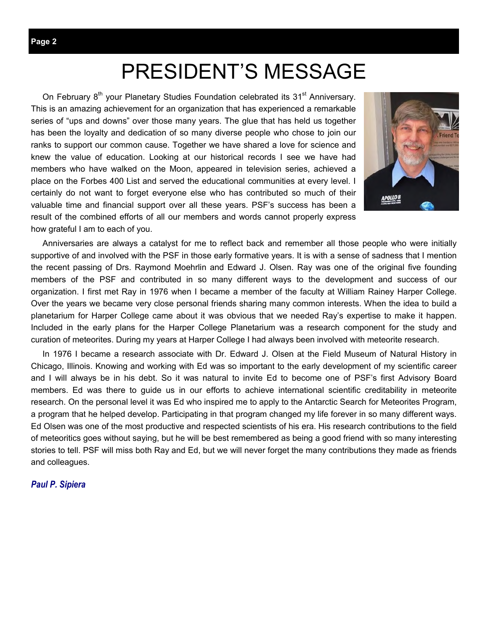### PRESIDENT'S MESSAGE

On February 8<sup>th</sup> your Planetary Studies Foundation celebrated its 31<sup>st</sup> Anniversary. This is an amazing achievement for an organization that has experienced a remarkable series of "ups and downs" over those many years. The glue that has held us together has been the loyalty and dedication of so many diverse people who chose to join our ranks to support our common cause. Together we have shared a love for science and knew the value of education. Looking at our historical records I see we have had members who have walked on the Moon, appeared in television series, achieved a place on the Forbes 400 List and served the educational communities at every level. I certainly do not want to forget everyone else who has contributed so much of their valuable time and financial support over all these years. PSF's success has been a result of the combined efforts of all our members and words cannot properly express how grateful I am to each of you.



 Anniversaries are always a catalyst for me to reflect back and remember all those people who were initially supportive of and involved with the PSF in those early formative years. It is with a sense of sadness that I mention the recent passing of Drs. Raymond Moehrlin and Edward J. Olsen. Ray was one of the original five founding members of the PSF and contributed in so many different ways to the development and success of our organization. I first met Ray in 1976 when I became a member of the faculty at William Rainey Harper College. Over the years we became very close personal friends sharing many common interests. When the idea to build a planetarium for Harper College came about it was obvious that we needed Ray's expertise to make it happen. Included in the early plans for the Harper College Planetarium was a research component for the study and curation of meteorites. During my years at Harper College I had always been involved with meteorite research.

 In 1976 I became a research associate with Dr. Edward J. Olsen at the Field Museum of Natural History in Chicago, Illinois. Knowing and working with Ed was so important to the early development of my scientific career and I will always be in his debt. So it was natural to invite Ed to become one of PSF's first Advisory Board members. Ed was there to guide us in our efforts to achieve international scientific creditability in meteorite research. On the personal level it was Ed who inspired me to apply to the Antarctic Search for Meteorites Program, a program that he helped develop. Participating in that program changed my life forever in so many different ways. Ed Olsen was one of the most productive and respected scientists of his era. His research contributions to the field of meteoritics goes without saying, but he will be best remembered as being a good friend with so many interesting stories to tell. PSF will miss both Ray and Ed, but we will never forget the many contributions they made as friends and colleagues.

#### *Paul P. Sipiera*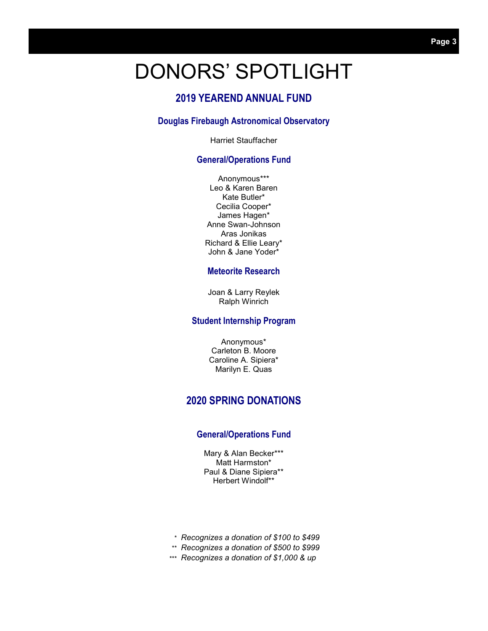### DONORS' SPOTLIGHT

#### **2019 YEAREND ANNUAL FUND**

#### **Douglas Firebaugh Astronomical Observatory**

Harriet Stauffacher

#### **General/Operations Fund**

Anonymous\*\*\* Leo & Karen Baren Kate Butler\* Cecilia Cooper\* James Hagen\* Anne Swan-Johnson Aras Jonikas Richard & Ellie Leary\* John & Jane Yoder\*

#### **Meteorite Research**

Joan & Larry Reylek Ralph Winrich

#### **Student Internship Program**

Anonymous\* Carleton B. Moore Caroline A. Sipiera\* Marilyn E. Quas

#### **2020 SPRING DONATIONS**

#### **General/Operations Fund**

Mary & Alan Becker\*\*\* Matt Harmston\* Paul & Diane Sipiera\*\* Herbert Windolf\*\*

- *Recognizes a donation of \$100 to \$499 \**
- *Recognizes a donation of \$500 to \$999 \*\**
- *Recognizes a donation of \$1,000 & up \*\*\**

Page 3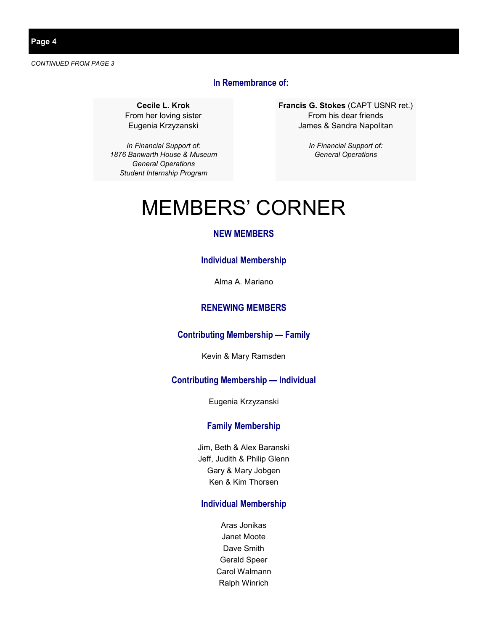**Page 4** 

*CONTINUED FROM PAGE 3* 

#### **In Remembrance of:**

**Cecile L. Krok**  From her loving sister Eugenia Krzyzanski

*In Financial Support of: 1876 Banwarth House & Museum General Operations Student Internship Program* 

**Francis G. Stokes** (CAPT USNR ret.) From his dear friends James & Sandra Napolitan

> *In Financial Support of: General Operations*

## MEMBERS' CORNER

#### **NEW MEMBERS**

#### **Individual Membership**

Alma A. Mariano

#### **RENEWING MEMBERS**

#### **Contributing Membership — Family**

Kevin & Mary Ramsden

#### **Contributing Membership — Individual**

Eugenia Krzyzanski

#### **Family Membership**

Jim, Beth & Alex Baranski Jeff, Judith & Philip Glenn Gary & Mary Jobgen Ken & Kim Thorsen

#### **Individual Membership**

Aras Jonikas Janet Moote Dave Smith Gerald Speer Carol Walmann Ralph Winrich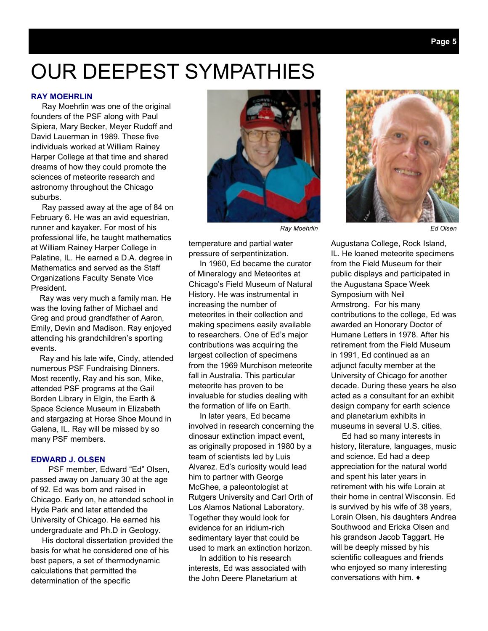### OUR DEEPEST SYMPATHIES

#### **RAY MOEHRLIN**

 Ray Moehrlin was one of the original founders of the PSF along with Paul Sipiera, Mary Becker, Meyer Rudoff and David Lauerman in 1989. These five individuals worked at William Rainey Harper College at that time and shared dreams of how they could promote the sciences of meteorite research and astronomy throughout the Chicago suburbs.

 Ray passed away at the age of 84 on February 6. He was an avid equestrian, runner and kayaker. For most of his professional life, he taught mathematics at William Rainey Harper College in Palatine, IL. He earned a D.A. degree in Mathematics and served as the Staff Organizations Faculty Senate Vice President.

 Ray was very much a family man. He was the loving father of Michael and Greg and proud grandfather of Aaron, Emily, Devin and Madison. Ray enjoyed attending his grandchildren's sporting events.

 Ray and his late wife, Cindy, attended numerous PSF Fundraising Dinners. Most recently, Ray and his son, Mike, attended PSF programs at the Gail Borden Library in Elgin, the Earth & Space Science Museum in Elizabeth and stargazing at Horse Shoe Mound in Galena, IL. Ray will be missed by so many PSF members.

#### **EDWARD J. OLSEN**

 PSF member, Edward "Ed" Olsen, passed away on January 30 at the age of 92. Ed was born and raised in Chicago. Early on, he attended school in Hyde Park and later attended the University of Chicago. He earned his undergraduate and Ph.D in Geology.

 His doctoral dissertation provided the basis for what he considered one of his best papers, a set of thermodynamic calculations that permitted the determination of the specific





temperature and partial water pressure of serpentinization.

 In 1960, Ed became the curator of Mineralogy and Meteorites at Chicago's Field Museum of Natural History. He was instrumental in increasing the number of meteorites in their collection and making specimens easily available to researchers. One of Ed's major contributions was acquiring the largest collection of specimens from the 1969 Murchison meteorite fall in Australia. This particular meteorite has proven to be invaluable for studies dealing with the formation of life on Earth.

 In later years, Ed became involved in research concerning the dinosaur extinction impact event, as originally proposed in 1980 by a team of scientists led by Luis Alvarez. Ed's curiosity would lead him to partner with George McGhee, a paleontologist at Rutgers University and Carl Orth of Los Alamos National Laboratory. Together they would look for evidence for an iridium-rich sedimentary layer that could be used to mark an extinction horizon.

 In addition to his research interests, Ed was associated with the John Deere Planetarium at

Augustana College, Rock Island, IL. He loaned meteorite specimens from the Field Museum for their public displays and participated in the Augustana Space Week Symposium with Neil Armstrong. For his many contributions to the college, Ed was awarded an Honorary Doctor of Humane Letters in 1978. After his retirement from the Field Museum in 1991, Ed continued as an adjunct faculty member at the University of Chicago for another decade. During these years he also acted as a consultant for an exhibit design company for earth science and planetarium exhibits in museums in several U.S. cities.

 Ed had so many interests in history, literature, languages, music and science. Ed had a deep appreciation for the natural world and spent his later years in retirement with his wife Lorain at their home in central Wisconsin. Ed is survived by his wife of 38 years, Lorain Olsen, his daughters Andrea Southwood and Ericka Olsen and his grandson Jacob Taggart. He will be deeply missed by his scientific colleagues and friends who enjoyed so many interesting conversations with him. ♦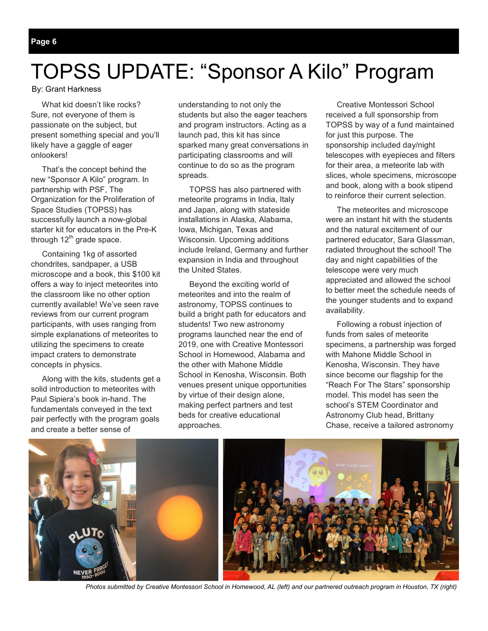# TOPSS UPDATE: "Sponsor A Kilo" Program

By: Grant Harkness

 What kid doesn't like rocks? Sure, not everyone of them is passionate on the subject, but present something special and you'll likely have a gaggle of eager onlookers!

 That's the concept behind the new "Sponsor A Kilo" program. In partnership with PSF, The Organization for the Proliferation of Space Studies (TOPSS) has successfully launch a now-global starter kit for educators in the Pre-K through  $12<sup>th</sup>$  grade space.

 Containing 1kg of assorted chondrites, sandpaper, a USB microscope and a book, this \$100 kit offers a way to inject meteorites into the classroom like no other option currently available! We've seen rave reviews from our current program participants, with uses ranging from simple explanations of meteorites to utilizing the specimens to create impact craters to demonstrate concepts in physics.

 Along with the kits, students get a solid introduction to meteorites with Paul Sipiera's book in-hand. The fundamentals conveyed in the text pair perfectly with the program goals and create a better sense of

understanding to not only the students but also the eager teachers and program instructors. Acting as a launch pad, this kit has since sparked many great conversations in participating classrooms and will continue to do so as the program spreads.

 TOPSS has also partnered with meteorite programs in India, Italy and Japan, along with stateside installations in Alaska, Alabama, Iowa, Michigan, Texas and Wisconsin. Upcoming additions include Ireland, Germany and further expansion in India and throughout the United States.

 Beyond the exciting world of meteorites and into the realm of astronomy, TOPSS continues to build a bright path for educators and students! Two new astronomy programs launched near the end of 2019, one with Creative Montessori School in Homewood, Alabama and the other with Mahone Middle School in Kenosha, Wisconsin. Both venues present unique opportunities by virtue of their design alone, making perfect partners and test beds for creative educational approaches.

 Creative Montessori School received a full sponsorship from TOPSS by way of a fund maintained for just this purpose. The sponsorship included day/night telescopes with eyepieces and filters for their area, a meteorite lab with slices, whole specimens, microscope and book, along with a book stipend to reinforce their current selection.

 The meteorites and microscope were an instant hit with the students and the natural excitement of our partnered educator, Sara Glassman, radiated throughout the school! The day and night capabilities of the telescope were very much appreciated and allowed the school to better meet the schedule needs of the younger students and to expand availability.

 Following a robust injection of funds from sales of meteorite specimens, a partnership was forged with Mahone Middle School in Kenosha, Wisconsin. They have since become our flagship for the "Reach For The Stars" sponsorship model. This model has seen the school's STEM Coordinator and Astronomy Club head, Brittany Chase, receive a tailored astronomy



*Photos submitted by Creative Montessori School in Homewood, AL (left) and our partnered outreach program in Houston, TX (right)*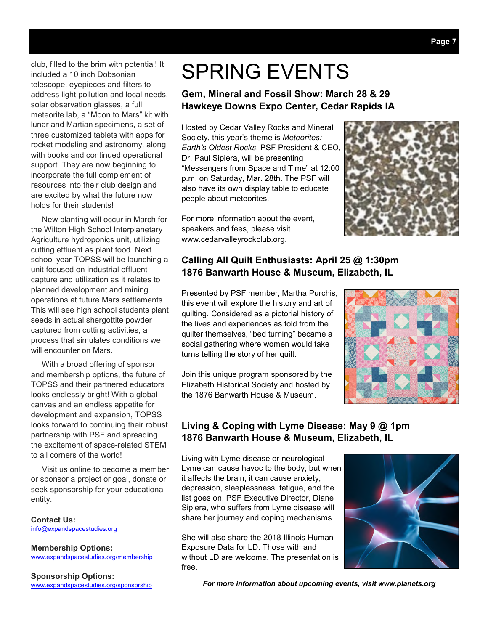club, filled to the brim with potential! It included a 10 inch Dobsonian telescope, eyepieces and filters to address light pollution and local needs, solar observation glasses, a full meteorite lab, a "Moon to Mars" kit with lunar and Martian specimens, a set of three customized tablets with apps for rocket modeling and astronomy, along with books and continued operational support. They are now beginning to incorporate the full complement of resources into their club design and are excited by what the future now holds for their students!

 New planting will occur in March for the Wilton High School Interplanetary Agriculture hydroponics unit, utilizing cutting effluent as plant food. Next school year TOPSS will be launching a unit focused on industrial effluent capture and utilization as it relates to planned development and mining operations at future Mars settlements. This will see high school students plant seeds in actual shergottite powder captured from cutting activities, a process that simulates conditions we will encounter on Mars.

 With a broad offering of sponsor and membership options, the future of TOPSS and their partnered educators looks endlessly bright! With a global canvas and an endless appetite for development and expansion, TOPSS looks forward to continuing their robust partnership with PSF and spreading the excitement of space-related STEM to all corners of the world!

 Visit us online to become a member or sponsor a project or goal, donate or seek sponsorship for your educational entity.

**Contact Us:**  info@expandspacestudies.org

**Membership Options:**  www.expandspacestudies.org/membership

**Sponsorship Options:**  www.expandspacestudies.org/sponsorship

### SPRING EVENTS

#### **Gem, Mineral and Fossil Show: March 28 & 29 Hawkeye Downs Expo Center, Cedar Rapids IA**

Hosted by Cedar Valley Rocks and Mineral Society, this year's theme is *Meteorites: Earth's Oldest Rocks*. PSF President & CEO, Dr. Paul Sipiera, will be presenting "Messengers from Space and Time" at 12:00 p.m. on Saturday, Mar. 28th. The PSF will also have its own display table to educate people about meteorites.

For more information about the event, speakers and fees, please visit www.cedarvalleyrockclub.org.



#### **Calling All Quilt Enthusiasts: April 25 @ 1:30pm 1876 Banwarth House & Museum, Elizabeth, IL**

Presented by PSF member, Martha Purchis, this event will explore the history and art of quilting. Considered as a pictorial history of the lives and experiences as told from the quilter themselves, "bed turning" became a social gathering where women would take turns telling the story of her quilt.

Join this unique program sponsored by the Elizabeth Historical Society and hosted by the 1876 Banwarth House & Museum.



#### **Living & Coping with Lyme Disease: May 9 @ 1pm 1876 Banwarth House & Museum, Elizabeth, IL**

Living with Lyme disease or neurological Lyme can cause havoc to the body, but when it affects the brain, it can cause anxiety, depression, sleeplessness, fatigue, and the list goes on. PSF Executive Director, Diane Sipiera, who suffers from Lyme disease will share her journey and coping mechanisms.

She will also share the 2018 Illinois Human Exposure Data for LD. Those with and without LD are welcome. The presentation is free.



*For more information about upcoming events, visit www.planets.org*